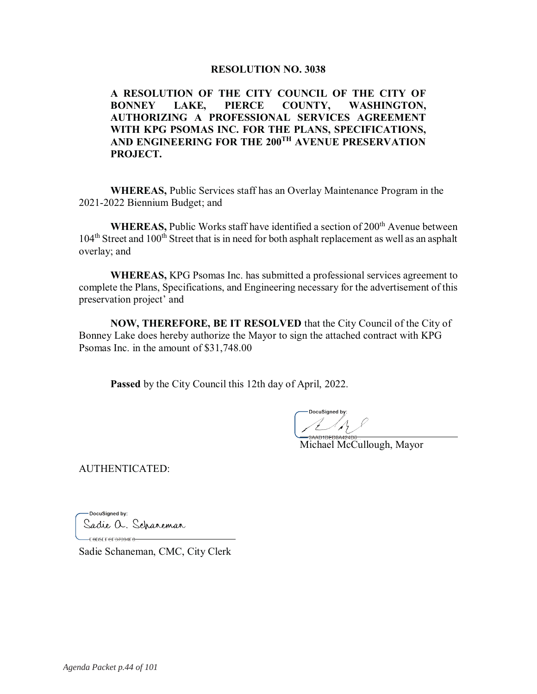#### **RESOLUTION NO. 3038**

A RESOLUTION OF THE CITY COUNCIL OF THE CITY OF **BONNEY** LAKE, **PIERCE COUNTY, WASHINGTON.** AUTHORIZING A PROFESSIONAL SERVICES AGREEMENT WITH KPG PSOMAS INC. FOR THE PLANS, SPECIFICATIONS, AND ENGINEERING FOR THE 200<sup>TH</sup> AVENUE PRESERVATION PROJECT.

**WHEREAS, Public Services staff has an Overlay Maintenance Program in the** 2021-2022 Biennium Budget; and

**WHEREAS, Public Works staff have identified a section of 200<sup>th</sup> Avenue between** 104<sup>th</sup> Street and 100<sup>th</sup> Street that is in need for both asphalt replacement as well as an asphalt overlay; and

**WHEREAS, KPG Psomas Inc. has submitted a professional services agreement to** complete the Plans, Specifications, and Engineering necessary for the advertisement of this preservation project' and

NOW, THEREFORE, BE IT RESOLVED that the City Council of the City of Bonney Lake does hereby authorize the Mayor to sign the attached contract with KPG Psomas Inc. in the amount of \$31,748.00

**Passed** by the City Council this 12th day of April, 2022.

Michael McCullough, Mayor

**AUTHENTICATED:** 

-DocuSianed by: Sadie a. Scharemar 

Sadie Schaneman, CMC, City Clerk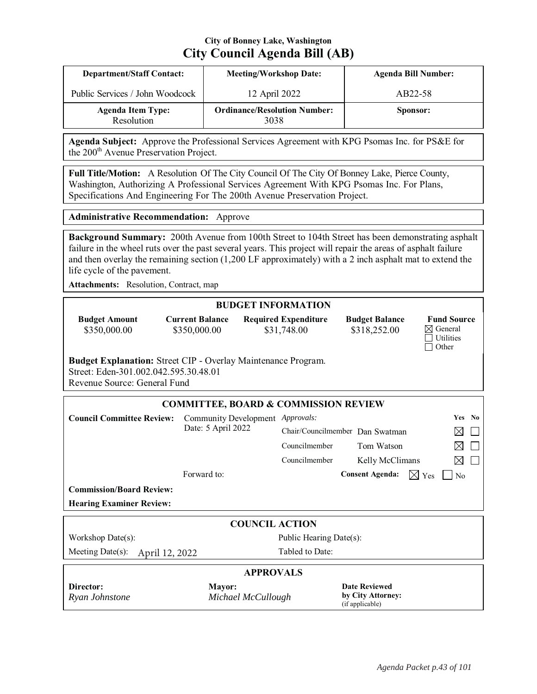# **City of Bonney Lake, Washington City Council Agenda Bill (AB)**

| <b>Department/Staff Contact:</b>       | <b>Meeting/Workshop Date:</b>               | <b>Agenda Bill Number:</b> |
|----------------------------------------|---------------------------------------------|----------------------------|
| Public Services / John Woodcock        | 12 April 2022                               | AB22-58                    |
| <b>Agenda Item Type:</b><br>Resolution | <b>Ordinance/Resolution Number:</b><br>3038 | Sponsor:                   |

Agenda Subject: Approve the Professional Services Agreement with KPG Psomas Inc. for PS&E for the 200<sup>th</sup> Avenue Preservation Project.

Full Title/Motion: A Resolution Of The City Council Of The City Of Bonney Lake, Pierce County, Washington, Authorizing A Professional Services Agreement With KPG Psomas Inc. For Plans, Specifications And Engineering For The 200th Avenue Preservation Project.

**Administrative Recommendation:** Approve

Background Summary: 200th Avenue from 100th Street to 104th Street has been demonstrating asphalt failure in the wheel ruts over the past several years. This project will repair the areas of asphalt failure and then overlay the remaining section  $(1,200 \text{ LF}$  approximately) with a 2 inch asphalt mat to extend the life cycle of the pavement.

Attachments: Resolution, Contract, map

#### **BUDGET INFORMATION**

**Budget Amount** \$350,000.00

**Current Balance** \$350,000.00

**Required Expenditure** \$31,748.00

**Budget Balance** \$318,252.00

| <b>Fund Source</b> |
|--------------------|
| ⊠ General          |
|                    |
| □ Other            |

Budget Explanation: Street CIP - Overlay Maintenance Program. Street: Eden-301.002.042.595.30.48.01

Revenue Source: General Fund

|                                        | <b>COMMITTEE, BOARD &amp; COMMISSION REVIEW</b> |                                 |                                                              |                 |                |        |  |  |
|----------------------------------------|-------------------------------------------------|---------------------------------|--------------------------------------------------------------|-----------------|----------------|--------|--|--|
| <b>Council Committee Review:</b>       | Community Development                           | <i>Approvals:</i>               |                                                              |                 |                | Yes No |  |  |
|                                        | Date: 5 April 2022                              | Chair/Councilmember Dan Swatman |                                                              |                 |                |        |  |  |
|                                        |                                                 | Councilmember                   | Tom Watson                                                   |                 | ⊠              |        |  |  |
|                                        |                                                 | Councilmember                   | Kelly McClimans                                              |                 | ⊠              |        |  |  |
|                                        | Forward to:                                     |                                 | <b>Consent Agenda:</b>                                       | $\boxtimes$ Yes | $\overline{N}$ |        |  |  |
| <b>Commission/Board Review:</b>        |                                                 |                                 |                                                              |                 |                |        |  |  |
| <b>Hearing Examiner Review:</b>        |                                                 |                                 |                                                              |                 |                |        |  |  |
|                                        | <b>COUNCIL ACTION</b>                           |                                 |                                                              |                 |                |        |  |  |
| Workshop Date(s):                      |                                                 | Public Hearing Date(s):         |                                                              |                 |                |        |  |  |
| Meeting Date $(s)$ :<br>April 12, 2022 |                                                 | Tabled to Date:                 |                                                              |                 |                |        |  |  |
|                                        | <b>APPROVALS</b>                                |                                 |                                                              |                 |                |        |  |  |
| Director:<br>Ryan Johnstone            | <b>Mayor:</b><br>Michael McCullough             |                                 | <b>Date Reviewed</b><br>by City Attorney:<br>(if applicable) |                 |                |        |  |  |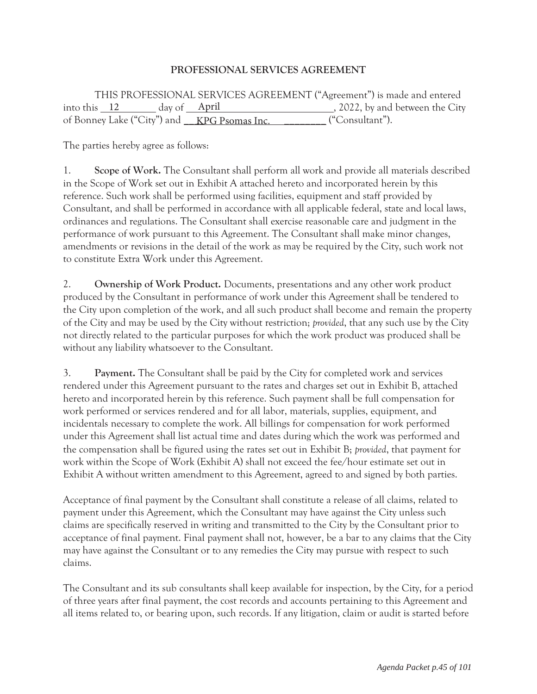## **PROFESSIONAL SERVICES AGREEMENT**

 THIS PROFESSIONAL SERVICES AGREEMENT ("Agreement") is made and entered into this  $\frac{12}{\text{day of}}$  day of  $\frac{\text{April}}{\text{April}}$ , 2022, by and between the City of Bonney Lake ("City") and <u>KPG Psomas Inc.</u> ("Consultant").

The parties hereby agree as follows:

1. **Scope of Work.** The Consultant shall perform all work and provide all materials described in the Scope of Work set out in Exhibit A attached hereto and incorporated herein by this reference. Such work shall be performed using facilities, equipment and staff provided by Consultant, and shall be performed in accordance with all applicable federal, state and local laws, ordinances and regulations. The Consultant shall exercise reasonable care and judgment in the performance of work pursuant to this Agreement. The Consultant shall make minor changes, amendments or revisions in the detail of the work as may be required by the City, such work not to constitute Extra Work under this Agreement.

2. **Ownership of Work Product.** Documents, presentations and any other work product produced by the Consultant in performance of work under this Agreement shall be tendered to the City upon completion of the work, and all such product shall become and remain the property of the City and may be used by the City without restriction; *provided*, that any such use by the City not directly related to the particular purposes for which the work product was produced shall be without any liability whatsoever to the Consultant.

3. **Payment.** The Consultant shall be paid by the City for completed work and services rendered under this Agreement pursuant to the rates and charges set out in Exhibit B, attached hereto and incorporated herein by this reference. Such payment shall be full compensation for work performed or services rendered and for all labor, materials, supplies, equipment, and incidentals necessary to complete the work. All billings for compensation for work performed under this Agreement shall list actual time and dates during which the work was performed and the compensation shall be figured using the rates set out in Exhibit B; *provided*, that payment for work within the Scope of Work (Exhibit A) shall not exceed the fee/hour estimate set out in Exhibit A without written amendment to this Agreement, agreed to and signed by both parties.

Acceptance of final payment by the Consultant shall constitute a release of all claims, related to payment under this Agreement, which the Consultant may have against the City unless such claims are specifically reserved in writing and transmitted to the City by the Consultant prior to acceptance of final payment. Final payment shall not, however, be a bar to any claims that the City may have against the Consultant or to any remedies the City may pursue with respect to such claims.

The Consultant and its sub consultants shall keep available for inspection, by the City, for a period of three years after final payment, the cost records and accounts pertaining to this Agreement and all items related to, or bearing upon, such records. If any litigation, claim or audit is started before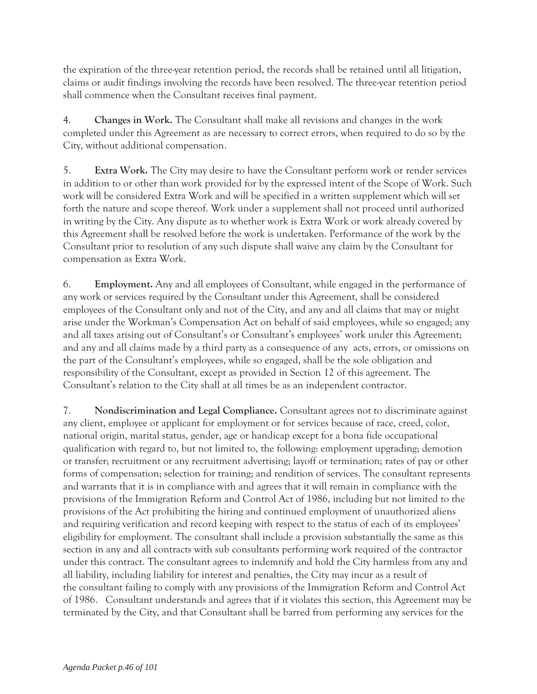the expiration of the three-year retention period, the records shall be retained until all litigation, claims or audit findings involving the records have been resolved. The three-year retention period shall commence when the Consultant receives final payment.

4. **Changes in Work.** The Consultant shall make all revisions and changes in the work completed under this Agreement as are necessary to correct errors, when required to do so by the City, without additional compensation.

5. **Extra Work.** The City may desire to have the Consultant perform work or render services in addition to or other than work provided for by the expressed intent of the Scope of Work. Such work will be considered Extra Work and will be specified in a written supplement which will set forth the nature and scope thereof. Work under a supplement shall not proceed until authorized in writing by the City. Any dispute as to whether work is Extra Work or work already covered by this Agreement shall be resolved before the work is undertaken. Performance of the work by the Consultant prior to resolution of any such dispute shall waive any claim by the Consultant for compensation as Extra Work.

6. **Employment.** Any and all employees of Consultant, while engaged in the performance of any work or services required by the Consultant under this Agreement, shall be considered employees of the Consultant only and not of the City, and any and all claims that may or might arise under the Workman's Compensation Act on behalf of said employees, while so engaged; any and all taxes arising out of Consultant's or Consultant's employees' work under this Agreement; and any and all claims made by a third party as a consequence of any acts, errors, or omissions on the part of the Consultant's employees, while so engaged, shall be the sole obligation and responsibility of the Consultant, except as provided in Section 12 of this agreement. The Consultant's relation to the City shall at all times be as an independent contractor.

7. **Nondiscrimination and Legal Compliance.** Consultant agrees not to discriminate against any client, employee or applicant for employment or for services because of race, creed, color, national origin, marital status, gender, age or handicap except for a bona fide occupational qualification with regard to, but not limited to, the following: employment upgrading; demotion or transfer; recruitment or any recruitment advertising; layoff or termination; rates of pay or other forms of compensation; selection for training; and rendition of services. The consultant represents and warrants that it is in compliance with and agrees that it will remain in compliance with the provisions of the Immigration Reform and Control Act of 1986, including but not limited to the provisions of the Act prohibiting the hiring and continued employment of unauthorized aliens and requiring verification and record keeping with respect to the status of each of its employees' eligibility for employment. The consultant shall include a provision substantially the same as this section in any and all contracts with sub consultants performing work required of the contractor under this contract. The consultant agrees to indemnify and hold the City harmless from any and all liability, including liability for interest and penalties, the City may incur as a result of the consultant failing to comply with any provisions of the Immigration Reform and Control Act of 1986. Consultant understands and agrees that if it violates this section, this Agreement may be terminated by the City, and that Consultant shall be barred from performing any services for the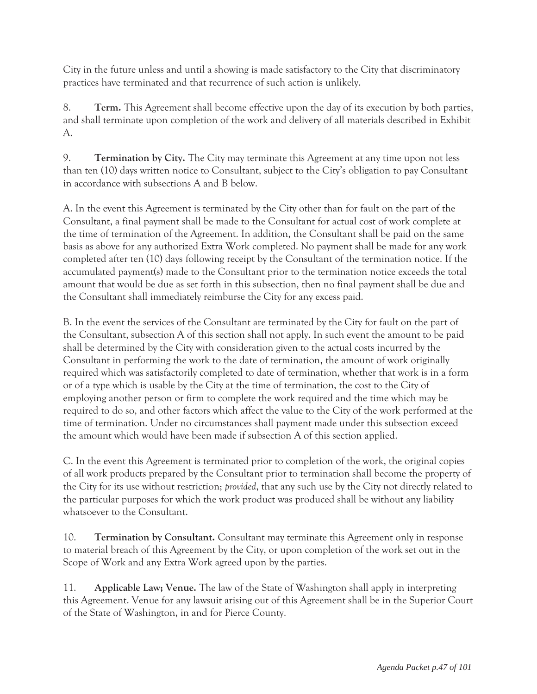City in the future unless and until a showing is made satisfactory to the City that discriminatory practices have terminated and that recurrence of such action is unlikely.

8. **Term.** This Agreement shall become effective upon the day of its execution by both parties, and shall terminate upon completion of the work and delivery of all materials described in Exhibit A.

9. **Termination by City.** The City may terminate this Agreement at any time upon not less than ten (10) days written notice to Consultant, subject to the City's obligation to pay Consultant in accordance with subsections A and B below.

A. In the event this Agreement is terminated by the City other than for fault on the part of the Consultant, a final payment shall be made to the Consultant for actual cost of work complete at the time of termination of the Agreement. In addition, the Consultant shall be paid on the same basis as above for any authorized Extra Work completed. No payment shall be made for any work completed after ten (10) days following receipt by the Consultant of the termination notice. If the accumulated payment(s) made to the Consultant prior to the termination notice exceeds the total amount that would be due as set forth in this subsection, then no final payment shall be due and the Consultant shall immediately reimburse the City for any excess paid.

B. In the event the services of the Consultant are terminated by the City for fault on the part of the Consultant, subsection A of this section shall not apply. In such event the amount to be paid shall be determined by the City with consideration given to the actual costs incurred by the Consultant in performing the work to the date of termination, the amount of work originally required which was satisfactorily completed to date of termination, whether that work is in a form or of a type which is usable by the City at the time of termination, the cost to the City of employing another person or firm to complete the work required and the time which may be required to do so, and other factors which affect the value to the City of the work performed at the time of termination. Under no circumstances shall payment made under this subsection exceed the amount which would have been made if subsection A of this section applied.

C. In the event this Agreement is terminated prior to completion of the work, the original copies of all work products prepared by the Consultant prior to termination shall become the property of the City for its use without restriction; *provided*, that any such use by the City not directly related to the particular purposes for which the work product was produced shall be without any liability whatsoever to the Consultant.

10. **Termination by Consultant.** Consultant may terminate this Agreement only in response to material breach of this Agreement by the City, or upon completion of the work set out in the Scope of Work and any Extra Work agreed upon by the parties.

11. **Applicable Law; Venue.** The law of the State of Washington shall apply in interpreting this Agreement. Venue for any lawsuit arising out of this Agreement shall be in the Superior Court of the State of Washington, in and for Pierce County.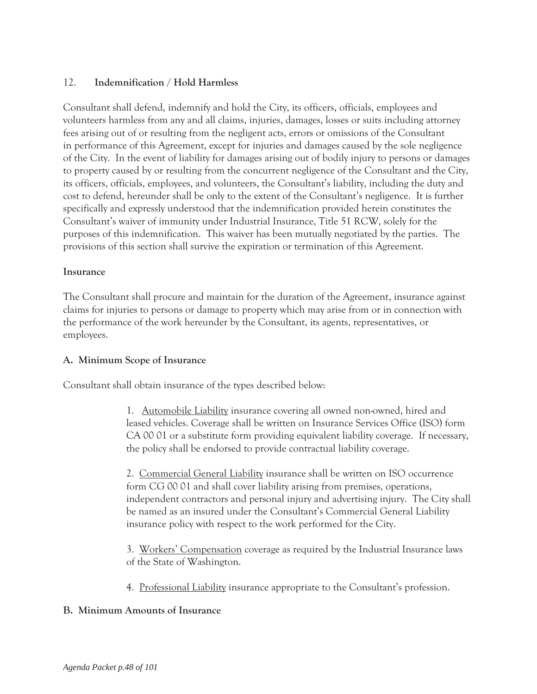# 12. **Indemnification / Hold Harmless**

Consultant shall defend, indemnify and hold the City, its officers, officials, employees and volunteers harmless from any and all claims, injuries, damages, losses or suits including attorney fees arising out of or resulting from the negligent acts, errors or omissions of the Consultant in performance of this Agreement, except for injuries and damages caused by the sole negligence of the City. In the event of liability for damages arising out of bodily injury to persons or damages to property caused by or resulting from the concurrent negligence of the Consultant and the City, its officers, officials, employees, and volunteers, the Consultant's liability, including the duty and cost to defend, hereunder shall be only to the extent of the Consultant's negligence. It is further specifically and expressly understood that the indemnification provided herein constitutes the Consultant's waiver of immunity under Industrial Insurance, Title 51 RCW, solely for the purposes of this indemnification. This waiver has been mutually negotiated by the parties. The provisions of this section shall survive the expiration or termination of this Agreement.

### **Insurance**

The Consultant shall procure and maintain for the duration of the Agreement, insurance against claims for injuries to persons or damage to property which may arise from or in connection with the performance of the work hereunder by the Consultant, its agents, representatives, or employees.

# **A. Minimum Scope of Insurance**

Consultant shall obtain insurance of the types described below:

1. Automobile Liability insurance covering all owned non-owned, hired and leased vehicles. Coverage shall be written on Insurance Services Office (ISO) form CA 00 01 or a substitute form providing equivalent liability coverage. If necessary, the policy shall be endorsed to provide contractual liability coverage.

2. Commercial General Liability insurance shall be written on ISO occurrence form CG 00 01 and shall cover liability arising from premises, operations, independent contractors and personal injury and advertising injury. The City shall be named as an insured under the Consultant's Commercial General Liability insurance policy with respect to the work performed for the City.

3. Workers' Compensation coverage as required by the Industrial Insurance laws of the State of Washington.

4. Professional Liability insurance appropriate to the Consultant's profession.

# **B. Minimum Amounts of Insurance**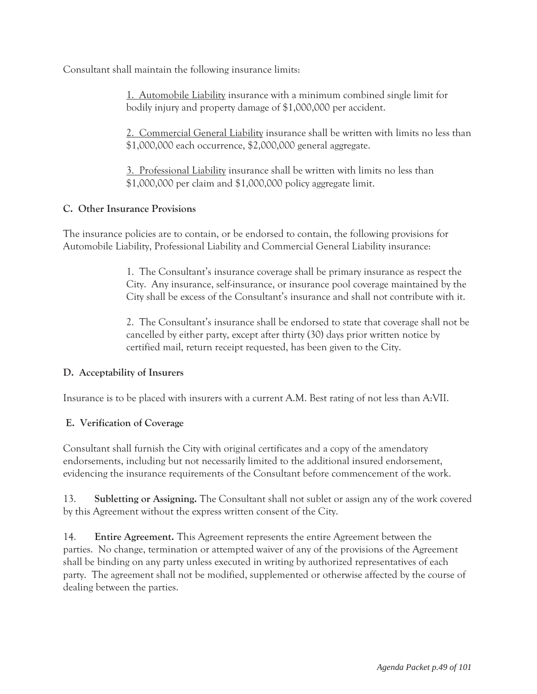Consultant shall maintain the following insurance limits:

1. Automobile Liability insurance with a minimum combined single limit for bodily injury and property damage of \$1,000,000 per accident.

2. Commercial General Liability insurance shall be written with limits no less than \$1,000,000 each occurrence, \$2,000,000 general aggregate.

3. Professional Liability insurance shall be written with limits no less than \$1,000,000 per claim and \$1,000,000 policy aggregate limit.

# **C. Other Insurance Provisions**

The insurance policies are to contain, or be endorsed to contain, the following provisions for Automobile Liability, Professional Liability and Commercial General Liability insurance:

> 1. The Consultant's insurance coverage shall be primary insurance as respect the City. Any insurance, self-insurance, or insurance pool coverage maintained by the City shall be excess of the Consultant's insurance and shall not contribute with it.

> 2. The Consultant's insurance shall be endorsed to state that coverage shall not be cancelled by either party, except after thirty (30) days prior written notice by certified mail, return receipt requested, has been given to the City.

# **D. Acceptability of Insurers**

Insurance is to be placed with insurers with a current A.M. Best rating of not less than A:VII.

# **E. Verification of Coverage**

Consultant shall furnish the City with original certificates and a copy of the amendatory endorsements, including but not necessarily limited to the additional insured endorsement, evidencing the insurance requirements of the Consultant before commencement of the work.

13. **Subletting or Assigning.** The Consultant shall not sublet or assign any of the work covered by this Agreement without the express written consent of the City.

14. **Entire Agreement.** This Agreement represents the entire Agreement between the parties. No change, termination or attempted waiver of any of the provisions of the Agreement shall be binding on any party unless executed in writing by authorized representatives of each party. The agreement shall not be modified, supplemented or otherwise affected by the course of dealing between the parties.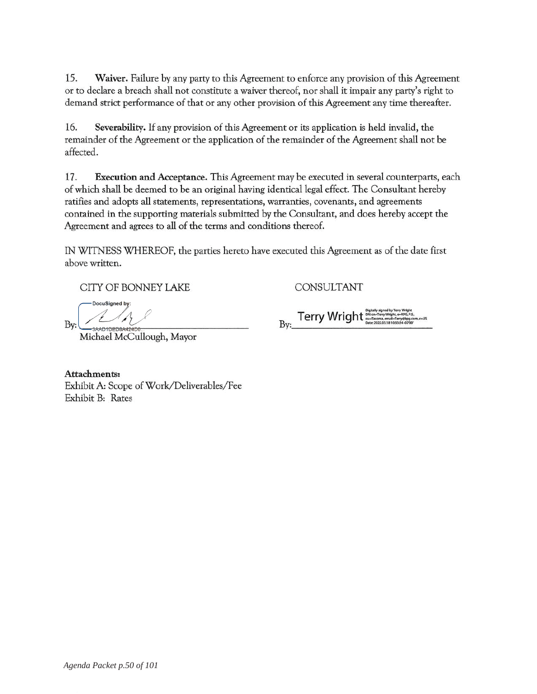15. Waiver. Failure by any party to this Agreement to enforce any provision of this Agreement or to declare a breach shall not constitute a waiver thereof, nor shall it impair any party's right to demand strict performance of that or any other provision of this Agreement any time thereafter.

16. Severability. If any provision of this Agreement or its application is held invalid, the remainder of the Agreement or the application of the remainder of the Agreement shall not be affected.

17. Execution and Acceptance. This Agreement may be executed in several counterparts, each of which shall be deemed to be an original having identical legal effect. The Consultant hereby ratifies and adopts all statements, representations, warranties, covenants, and agreements contained in the supporting materials submitted by the Consultant, and does hereby accept the Agreement and agrees to all of the terms and conditions thereof.

IN WITNESS WHEREOF, the parties hereto have executed this Agreement as of the date first above written.

CITY OF BONNEY LAKE

.<br>DocuSigned by Bv:

Michael McCullough, Mayor

CONSULTANT

Attachments: Exhibit A: Scope of Work/Deliverables/Fee Exhibit B: Rates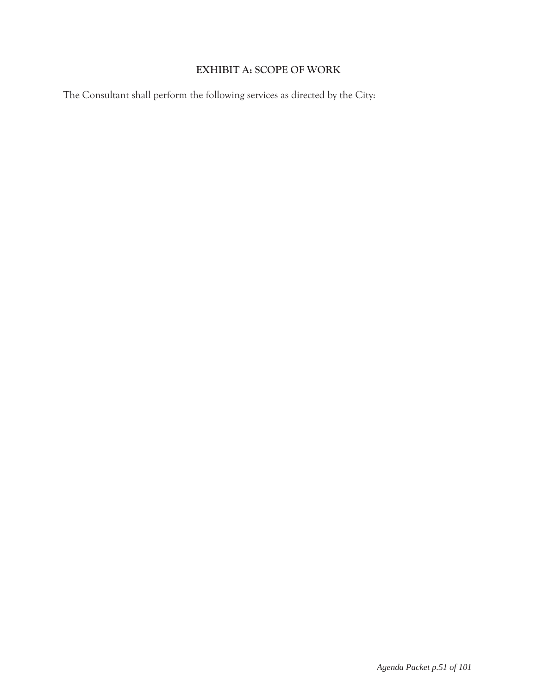# **EXHIBIT A: SCOPE OF WORK**

The Consultant shall perform the following services as directed by the City: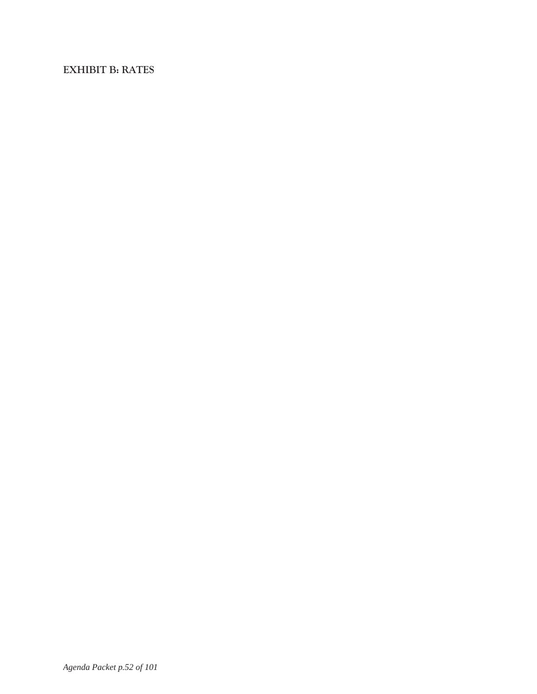# **EXHIBIT B: RATES**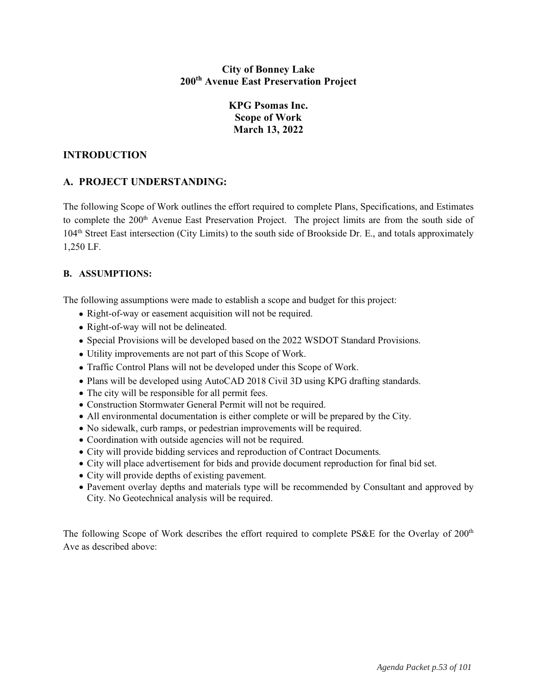#### **City of Bonney Lake** 200<sup>th</sup> Avenue East Preservation Project

# **KPG Psomas Inc. Scope of Work** March 13, 2022

### **INTRODUCTION**

# A. PROJECT UNDERSTANDING:

The following Scope of Work outlines the effort required to complete Plans, Specifications, and Estimates to complete the 200<sup>th</sup> Avenue East Preservation Project. The project limits are from the south side of 104<sup>th</sup> Street East intersection (City Limits) to the south side of Brookside Dr. E., and totals approximately 1,250 LF.

#### **B. ASSUMPTIONS:**

The following assumptions were made to establish a scope and budget for this project:

- Right-of-way or easement acquisition will not be required.
- Right-of-way will not be delineated.
- Special Provisions will be developed based on the 2022 WSDOT Standard Provisions.
- Utility improvements are not part of this Scope of Work.
- Traffic Control Plans will not be developed under this Scope of Work.
- Plans will be developed using AutoCAD 2018 Civil 3D using KPG drafting standards.
- The city will be responsible for all permit fees.
- Construction Stormwater General Permit will not be required.
- All environmental documentation is either complete or will be prepared by the City.
- No sidewalk, curb ramps, or pedestrian improvements will be required.
- Coordination with outside agencies will not be required.
- City will provide bidding services and reproduction of Contract Documents.
- City will place advertisement for bids and provide document reproduction for final bid set.
- City will provide depths of existing pavement.
- Pavement overlay depths and materials type will be recommended by Consultant and approved by City. No Geotechnical analysis will be required.

The following Scope of Work describes the effort required to complete PS&E for the Overlay of 200<sup>th</sup> Ave as described above: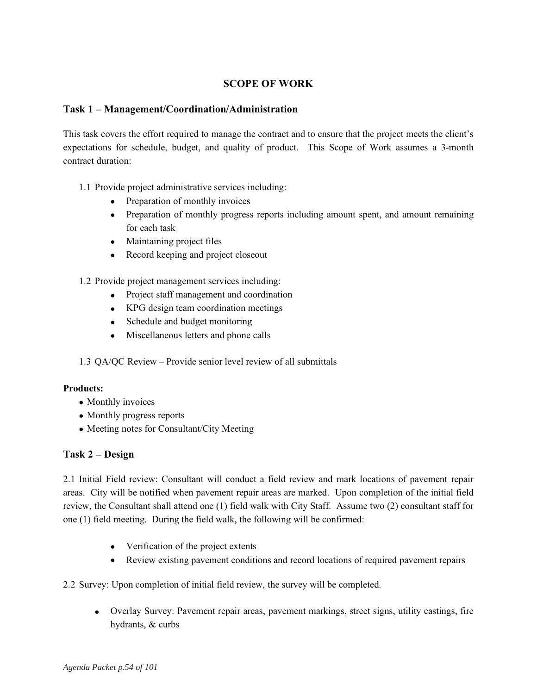## **SCOPE OF WORK**

#### Task 1 - Management/Coordination/Administration

This task covers the effort required to manage the contract and to ensure that the project meets the client's expectations for schedule, budget, and quality of product. This Scope of Work assumes a 3-month contract duration:

- 1.1 Provide project administrative services including:
	- Preparation of monthly invoices
	- Preparation of monthly progress reports including amount spent, and amount remaining for each task
	- Maintaining project files
	- Record keeping and project closeout

1.2 Provide project management services including:

- Project staff management and coordination
- KPG design team coordination meetings
- Schedule and budget monitoring
- Miscellaneous letters and phone calls

1.3 QA/QC Review – Provide senior level review of all submittals

#### **Products:**

- Monthly invoices
- Monthly progress reports
- Meeting notes for Consultant/City Meeting

#### Task 2 – Design

2.1 Initial Field review: Consultant will conduct a field review and mark locations of pavement repair areas. City will be notified when pavement repair areas are marked. Upon completion of the initial field review, the Consultant shall attend one (1) field walk with City Staff. Assume two (2) consultant staff for one (1) field meeting. During the field walk, the following will be confirmed:

- Verification of the project extents
- Review existing pavement conditions and record locations of required pavement repairs

2.2 Survey: Upon completion of initial field review, the survey will be completed.

• Overlay Survey: Pavement repair areas, pavement markings, street signs, utility castings, fire hydrants, & curbs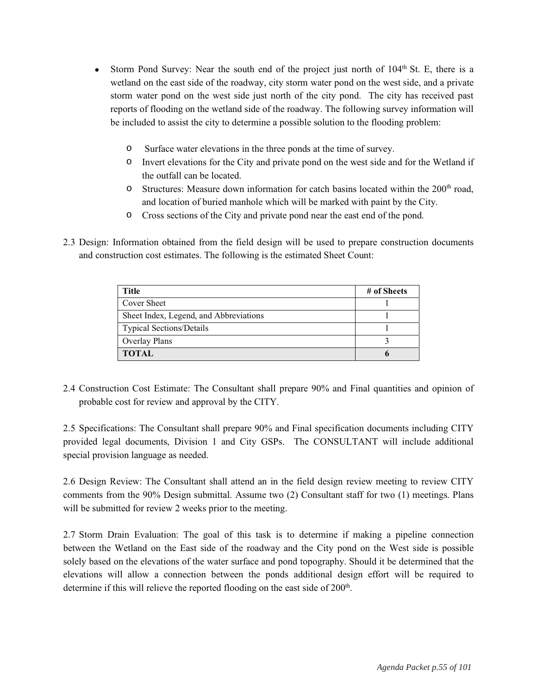- Storm Pond Survey: Near the south end of the project just north of  $104<sup>th</sup>$  St. E, there is a wetland on the east side of the roadway, city storm water pond on the west side, and a private storm water pond on the west side just north of the city pond. The city has received past reports of flooding on the wetland side of the roadway. The following survey information will be included to assist the city to determine a possible solution to the flooding problem:
	- Surface water elevations in the three ponds at the time of survey.  $\Omega$
	- $\circ$ Invert elevations for the City and private pond on the west side and for the Wetland if the outfall can be located.
	- Structures: Measure down information for catch basins located within the 200<sup>th</sup> road,  $\circ$ and location of buried manhole which will be marked with paint by the City.
	- Cross sections of the City and private pond near the east end of the pond.
- 2.3 Design: Information obtained from the field design will be used to prepare construction documents and construction cost estimates. The following is the estimated Sheet Count:

| <b>Title</b>                           | # of Sheets |
|----------------------------------------|-------------|
| Cover Sheet                            |             |
| Sheet Index, Legend, and Abbreviations |             |
| <b>Typical Sections/Details</b>        |             |
| Overlay Plans                          |             |
| <b>TOTAL</b>                           |             |

2.4 Construction Cost Estimate: The Consultant shall prepare 90% and Final quantities and opinion of probable cost for review and approval by the CITY.

2.5 Specifications: The Consultant shall prepare 90% and Final specification documents including CITY provided legal documents, Division 1 and City GSPs. The CONSULTANT will include additional special provision language as needed.

2.6 Design Review: The Consultant shall attend an in the field design review meeting to review CITY comments from the 90% Design submittal. Assume two (2) Consultant staff for two (1) meetings. Plans will be submitted for review 2 weeks prior to the meeting.

2.7 Storm Drain Evaluation: The goal of this task is to determine if making a pipeline connection between the Wetland on the East side of the roadway and the City pond on the West side is possible solely based on the elevations of the water surface and pond topography. Should it be determined that the elevations will allow a connection between the ponds additional design effort will be required to determine if this will relieve the reported flooding on the east side of 200<sup>th</sup>.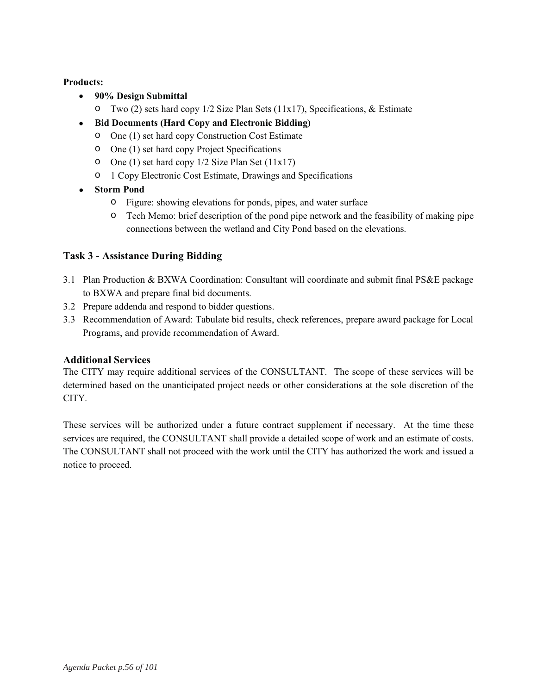#### **Products:**

- 90% Design Submittal
	- $\circ$  Two (2) sets hard copy 1/2 Size Plan Sets (11x17), Specifications, & Estimate
- Bid Documents (Hard Copy and Electronic Bidding)
	- O One (1) set hard copy Construction Cost Estimate
	- One (1) set hard copy Project Specifications
	- O One (1) set hard copy  $1/2$  Size Plan Set ( $11x17$ )
	- o 1 Copy Electronic Cost Estimate, Drawings and Specifications
- Storm Pond
	- Figure: showing elevations for ponds, pipes, and water surface
	- Tech Memo: brief description of the pond pipe network and the feasibility of making pipe connections between the wetland and City Pond based on the elevations.

### **Task 3 - Assistance During Bidding**

- 3.1 Plan Production & BXWA Coordination: Consultant will coordinate and submit final PS&E package to BXWA and prepare final bid documents.
- 3.2 Prepare addenda and respond to bidder questions.
- 3.3 Recommendation of Award: Tabulate bid results, check references, prepare award package for Local Programs, and provide recommendation of Award.

#### **Additional Services**

The CITY may require additional services of the CONSULTANT. The scope of these services will be determined based on the unanticipated project needs or other considerations at the sole discretion of the CITY.

These services will be authorized under a future contract supplement if necessary. At the time these services are required, the CONSULTANT shall provide a detailed scope of work and an estimate of costs. The CONSULTANT shall not proceed with the work until the CITY has authorized the work and issued a notice to proceed.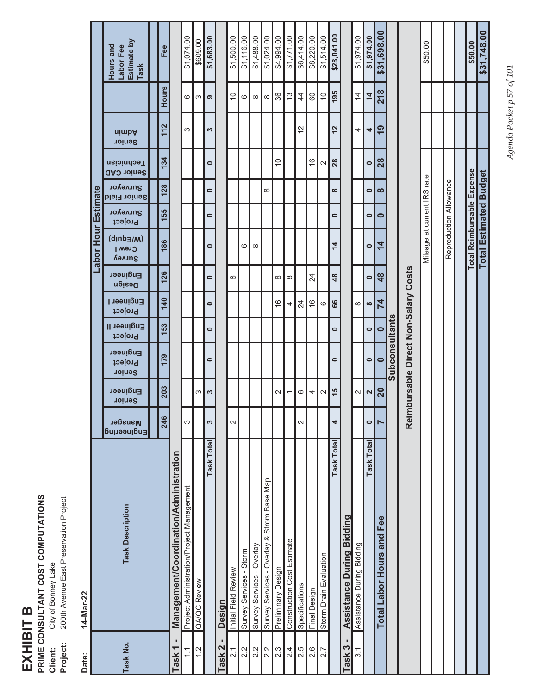# EXHIBIT B

**PRIME CONSULTANT COST COMPUTATIONS<br>Client:** City of Bonney Lake<br>**Project:** 200th Avenue East Preservation Project

 $14$ -Mar-22  $Parter$ 

|                     | Estimate by<br>Hours and<br>Labor Fee<br>Task | Fee          |                                        | \$1,074.00                                | \$609.00     | \$1,683.00        |                       | \$1,500.00           | \$1,116.00              | \$1,488.00                | \$1,024.00                                 | \$4,994.00         | \$1,771.00                 | \$6,414.00      | \$8,220.00      | \$1,514.00             | \$28,041.00    |                                     | \$1,974.00                | \$1,974.00        | \$31,698.00               |                       |                                   | \$50.00                     |                        |                            |
|---------------------|-----------------------------------------------|--------------|----------------------------------------|-------------------------------------------|--------------|-------------------|-----------------------|----------------------|-------------------------|---------------------------|--------------------------------------------|--------------------|----------------------------|-----------------|-----------------|------------------------|----------------|-------------------------------------|---------------------------|-------------------|---------------------------|-----------------------|-----------------------------------|-----------------------------|------------------------|----------------------------|
|                     |                                               | <b>Hours</b> |                                        | 6                                         | S            | ၜ                 |                       | $\tilde{0}$          | ဖ                       | $\infty$                  | $\infty$                                   | 36                 | $\frac{3}{2}$              | $\overline{4}$  | 60              | $\overline{C}$         | 195            |                                     | $\overline{4}$            | $\overline{4}$    | 218                       |                       |                                   |                             |                        |                            |
|                     | nimbA<br><b>Senior</b>                        | 112          |                                        | S                                         |              | 3                 |                       |                      |                         |                           |                                            |                    |                            | $\frac{2}{3}$   |                 |                        | $\frac{2}{3}$  |                                     | 4                         | 4                 | $\overline{6}$            |                       |                                   |                             |                        |                            |
|                     | <b>Technician</b><br><b>Senior CAD</b>        | 134          |                                        |                                           |              | $\bullet$         |                       |                      |                         |                           |                                            | $\overline{C}$     |                            |                 | $\frac{6}{5}$   | $\mathbf{\Omega}$      | 28             |                                     |                           | $\bullet$         | 28                        |                       |                                   |                             |                        |                            |
|                     | Surveyor<br><b>Senior Field</b>               | 128          |                                        |                                           |              | $\bullet$         |                       |                      |                         |                           | $\infty$                                   |                    |                            |                 |                 |                        | 8              |                                     |                           | 0                 | $\infty$                  |                       |                                   |                             |                        |                            |
|                     | Surveyor<br>Project                           | 155          |                                        |                                           |              | $\bullet$         |                       |                      |                         |                           |                                            |                    |                            |                 |                 |                        | $\bullet$      |                                     |                           | $\bullet$         | $\bullet$                 |                       |                                   |                             |                        |                            |
| Labor Hour Estimate | (W/Equip)<br><b>Crew I</b><br>Survey          | 186          |                                        |                                           |              | $\bullet$         |                       |                      | ဖ                       | $\infty$                  |                                            |                    |                            |                 |                 |                        | $\frac{4}{4}$  |                                     |                           | $\bullet$         | $\overline{\bf 4}$        |                       |                                   | Mileage at current IRS rate | Reproduction Allowance | Total Reimbursable Expense |
|                     | <b>Engineer</b><br>Deaign                     | 126          |                                        |                                           |              | $\bullet$         |                       | 8                    |                         |                           |                                            | $\infty$           | $\infty$                   |                 | $\overline{24}$ |                        | $\frac{48}{5}$ |                                     |                           | $\bullet$         | 48                        |                       |                                   |                             |                        |                            |
|                     | <b>Engineer I</b><br>Project                  | 140          |                                        |                                           |              | $\bullet$         |                       |                      |                         |                           |                                            | $\frac{6}{5}$      | 4                          | $\overline{24}$ | $\frac{6}{5}$   | $\circ$                | 66             |                                     | $\infty$                  | $\infty$          | $\overline{7}$            |                       |                                   |                             |                        |                            |
|                     | Engineer II<br>Project                        | 153          |                                        |                                           |              | $\bullet$         |                       |                      |                         |                           |                                            |                    |                            |                 |                 |                        | $\bullet$      |                                     |                           | $\bullet$         | $\bullet$                 |                       |                                   |                             |                        |                            |
|                     | <b>Engineer</b><br>Project<br>Senior          | 179          |                                        |                                           |              | $\bullet$         |                       |                      |                         |                           |                                            |                    |                            |                 |                 |                        | $\bullet$      |                                     |                           | 0                 | $\bullet$                 | <b>Subconsultants</b> | nbursable Direct Non-Salary Costs |                             |                        |                            |
|                     | <b>Engineer</b><br>Senior                     | 203          |                                        |                                           | S            | S                 |                       |                      |                         |                           |                                            | $\sim$             | $\overline{ }$             | $\circ$         | 4               | $\sim$                 | 15             |                                     | $\sim$                    | 2                 | 20                        |                       |                                   |                             |                        |                            |
|                     | <b>Manager</b><br>Engineering                 | 246          |                                        | S                                         |              | 3                 |                       | $\mathbf 2$          |                         |                           |                                            |                    |                            | $\sim$          |                 |                        | 4              |                                     |                           | $\bullet$         | $\blacktriangleright$     |                       | Rein                              |                             |                        |                            |
|                     | <b>Task Description</b>                       |              | Management/Coordination/Administration | Project Administration/Project Management | QA/QC Review | <b>Task Total</b> | Design                | Initial Field Review | Survey Services - Storm | Survey Services - Overlay | Survey Services - Overlay & Strom Base Map | Preliminary Design | Construction Cost Estimate | Specifications  | Final Design    | Storm Drain Evaluation | Task Total     | Bidding<br><b>Assistance During</b> | Assistance During Bidding | <b>Task Total</b> | Total Labor Hours and Fee |                       |                                   |                             |                        |                            |
| <b>Date:</b>        | Task No.                                      |              | ٠<br>$\overline{\phantom{0}}$<br>Task  | $\tilde{=}$                               | $\mathbf{C}$ |                   | ٠<br>ask <sub>2</sub> | $\approx$            | 2.2                     | 2.2                       | 2.2                                        | 2.3                | 2.4                        | 2.5             | 2.6             | 2.7                    |                | ٠<br>S<br>Task                      | 3.1                       |                   |                           |                       |                                   |                             |                        |                            |

Agenda Packet p.57 of 101